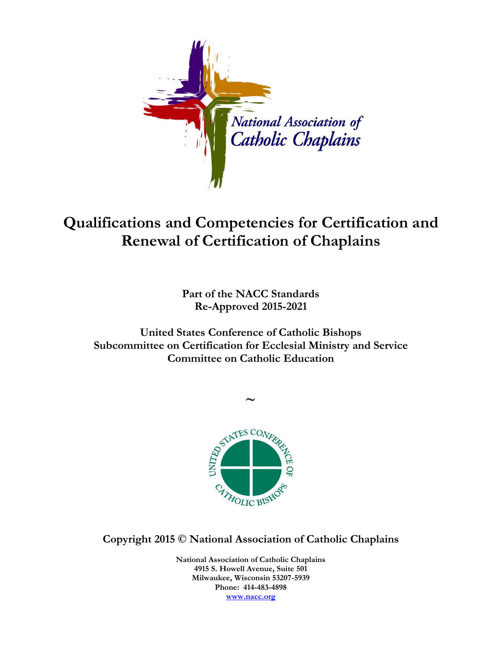

## **Qualifications and Competencies for Certification and Renewal of Certification of Chaplains**

**Part of the NACC Standards Re-Approved 2015-2021**

**United States Conference of Catholic Bishops Subcommittee on Certification for Ecclesial Ministry and Service Committee on Catholic Education**

**~**



**Copyright 2015 © National Association of Catholic Chaplains**

**National Association of Catholic Chaplains 4915 S. Howell Avenue, Suite 501 Milwaukee, Wisconsin 53207-5939 Phone: 414-483-4898 [www.nacc.org](http://www.nacc.org/)**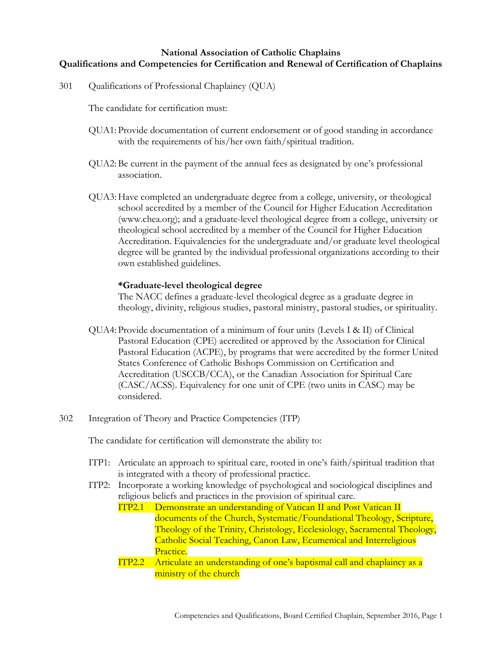## **National Association of Catholic Chaplains Qualifications and Competencies for Certification and Renewal of Certification of Chaplains**

301 Qualifications of Professional Chaplaincy (QUA)

The candidate for certification must:

- QUA1: Provide documentation of current endorsement or of good standing in accordance with the requirements of his/her own faith/spiritual tradition.
- QUA2:Be current in the payment of the annual fees as designated by one's professional association.
- QUA3: Have completed an undergraduate degree from a college, university, or theological school accredited by a member of the Council for Higher Education Accreditation (www.chea.org); and a graduate-level theological degree from a college, university or theological school accredited by a member of the Council for Higher Education Accreditation. Equivalencies for the undergraduate and/or graduate level theological degree will be granted by the individual professional organizations according to their own established guidelines.

## **\*Graduate-level theological degree**

The NACC defines a graduate-level theological degree as a graduate degree in theology, divinity, religious studies, pastoral ministry, pastoral studies, or spirituality.

- QUA4: Provide documentation of a minimum of four units (Levels I & II) of Clinical Pastoral Education (CPE) accredited or approved by the Association for Clinical Pastoral Education (ACPE), by programs that were accredited by the former United States Conference of Catholic Bishops Commission on Certification and Accreditation (USCCB/CCA), or the Canadian Association for Spiritual Care (CASC/ACSS). Equivalency for one unit of CPE (two units in CASC) may be considered.
- 302 Integration of Theory and Practice Competencies (ITP)

The candidate for certification will demonstrate the ability to:

- ITP1: Articulate an approach to spiritual care, rooted in one's faith/spiritual tradition that is integrated with a theory of professional practice.
- ITP2: Incorporate a working knowledge of psychological and sociological disciplines and religious beliefs and practices in the provision of spiritual care.
	- ITP2.1 Demonstrate an understanding of Vatican II and Post Vatican II documents of the Church, Systematic/Foundational Theology, Scripture, Theology of the Trinity, Christology, Ecclesiology, Sacramental Theology, Catholic Social Teaching, Canon Law, Ecumenical and Interreligious Practice.
	- ITP2.2 Articulate an understanding of one's baptismal call and chaplaincy as a ministry of the church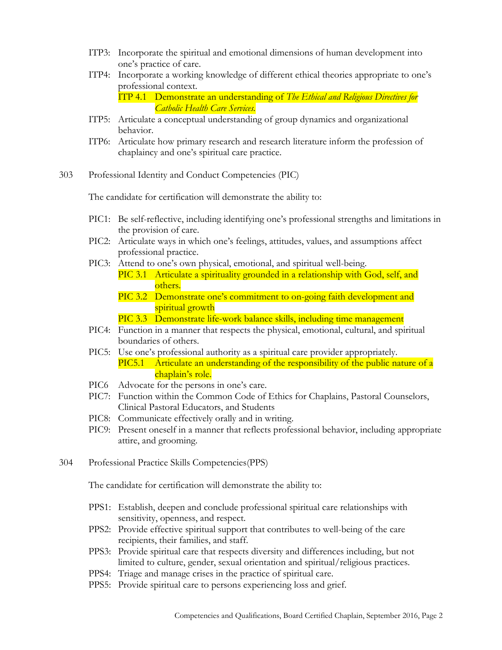- ITP3: Incorporate the spiritual and emotional dimensions of human development into one's practice of care.
- ITP4: Incorporate a working knowledge of different ethical theories appropriate to one's professional context.

ITP 4.1 Demonstrate an understanding of *The Ethical and Religious Directives for Catholic Health Care Services.*

- ITP5: Articulate a conceptual understanding of group dynamics and organizational behavior.
- ITP6: Articulate how primary research and research literature inform the profession of chaplaincy and one's spiritual care practice.
- 303 Professional Identity and Conduct Competencies (PIC)

The candidate for certification will demonstrate the ability to:

- PIC1: Be self-reflective, including identifying one's professional strengths and limitations in the provision of care.
- PIC2: Articulate ways in which one's feelings, attitudes, values, and assumptions affect professional practice.
- PIC3: Attend to one's own physical, emotional, and spiritual well-being.
	- PIC 3.1 Articulate a spirituality grounded in a relationship with God, self, and others.
		- PIC 3.2 Demonstrate one's commitment to on-going faith development and spiritual growth
		- PIC 3.3 Demonstrate life-work balance skills, including time management
- PIC4: Function in a manner that respects the physical, emotional, cultural, and spiritual boundaries of others.
- PIC5: Use one's professional authority as a spiritual care provider appropriately. PIC5.1 Articulate an understanding of the responsibility of the public nature of a chaplain's role.
- PIC6 Advocate for the persons in one's care.
- PIC7: Function within the Common Code of Ethics for Chaplains, Pastoral Counselors, Clinical Pastoral Educators, and Students
- PIC8: Communicate effectively orally and in writing.
- PIC9: Present oneself in a manner that reflects professional behavior, including appropriate attire, and grooming.
- 304 Professional Practice Skills Competencies(PPS)

The candidate for certification will demonstrate the ability to:

- PPS1: Establish, deepen and conclude professional spiritual care relationships with sensitivity, openness, and respect.
- PPS2: Provide effective spiritual support that contributes to well-being of the care recipients, their families, and staff.
- PPS3: Provide spiritual care that respects diversity and differences including, but not limited to culture, gender, sexual orientation and spiritual/religious practices.
- PPS4: Triage and manage crises in the practice of spiritual care.
- PPS5: Provide spiritual care to persons experiencing loss and grief.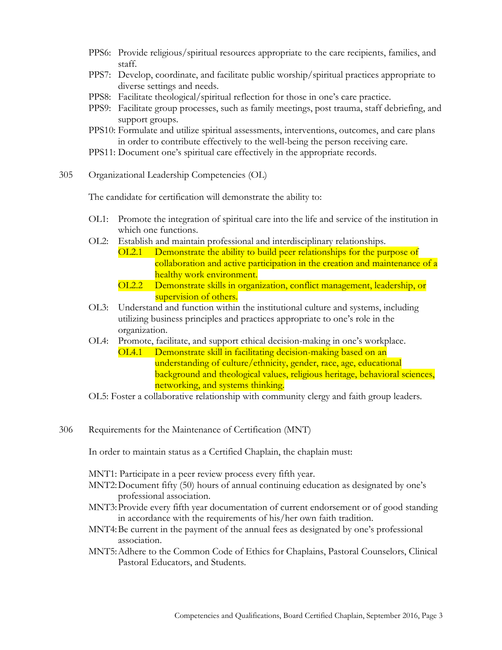- PPS6: Provide religious/spiritual resources appropriate to the care recipients, families, and staff.
- PPS7: Develop, coordinate, and facilitate public worship/spiritual practices appropriate to diverse settings and needs.
- PPS8: Facilitate theological/spiritual reflection for those in one's care practice.
- PPS9: Facilitate group processes, such as family meetings, post trauma, staff debriefing, and support groups.
- PPS10: Formulate and utilize spiritual assessments, interventions, outcomes, and care plans in order to contribute effectively to the well-being the person receiving care.
- PPS11: Document one's spiritual care effectively in the appropriate records.
- 305 Organizational Leadership Competencies (OL)

The candidate for certification will demonstrate the ability to:

- OL1: Promote the integration of spiritual care into the life and service of the institution in which one functions.
- OL2: Establish and maintain professional and interdisciplinary relationships.
	- OL2.1 Demonstrate the ability to build peer relationships for the purpose of collaboration and active participation in the creation and maintenance of a healthy work environment.
		- OL2.2 Demonstrate skills in organization, conflict management, leadership, or supervision of others.
- OL3: Understand and function within the institutional culture and systems, including utilizing business principles and practices appropriate to one's role in the organization.
- OL4: Promote, facilitate, and support ethical decision-making in one's workplace.
	- OL4.1 Demonstrate skill in facilitating decision-making based on an understanding of culture/ethnicity, gender, race, age, educational background and theological values, religious heritage, behavioral sciences, networking, and systems thinking.
- OL5: Foster a collaborative relationship with community clergy and faith group leaders.
- 306 Requirements for the Maintenance of Certification (MNT)

In order to maintain status as a Certified Chaplain, the chaplain must:

MNT1: Participate in a peer review process every fifth year.

- MNT2:Document fifty (50) hours of annual continuing education as designated by one's professional association.
- MNT3:Provide every fifth year documentation of current endorsement or of good standing in accordance with the requirements of his/her own faith tradition.
- MNT4:Be current in the payment of the annual fees as designated by one's professional association.
- MNT5:Adhere to the Common Code of Ethics for Chaplains, Pastoral Counselors, Clinical Pastoral Educators, and Students.